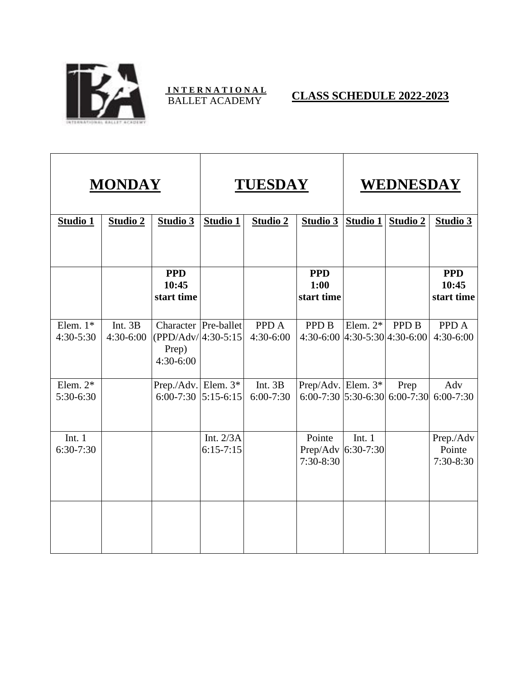

## **I N T E R N A T I O N A L** BALLET ACADEMY **CLASS SCHEDULE 2022-2023**

| <b>MONDAY</b>           |                      |                                              | <b>TUESDAY</b>               |                          |                                                         | WEDNESDAY       |                                         |                                    |
|-------------------------|----------------------|----------------------------------------------|------------------------------|--------------------------|---------------------------------------------------------|-----------------|-----------------------------------------|------------------------------------|
| Studio 1                | <b>Studio 2</b>      | Studio 3                                     | Studio 1                     | <b>Studio 2</b>          | Studio 3                                                | <b>Studio 1</b> | Studio 2                                | Studio 3                           |
|                         |                      |                                              |                              |                          |                                                         |                 |                                         |                                    |
|                         |                      | <b>PPD</b><br>10:45<br>start time            |                              |                          | <b>PPD</b><br>1:00<br>start time                        |                 |                                         | <b>PPD</b><br>10:45<br>start time  |
| Elem. $1*$<br>4:30-5:30 | Int. 3B<br>4:30-6:00 | $ (PPD/Adv/4:30-5:15)$<br>Prep)<br>4:30-6:00 | Character Pre-ballet         | PPD A<br>4:30-6:00       | <b>PPD B</b><br>$4:30-6:00$   $4:30-5:30$   $4:30-6:00$ | Elem. $2^*$     | <b>PPD B</b>                            | PPD A<br>4:30-6:00                 |
| Elem. $2*$<br>5:30-6:30 |                      | Prep./Adv. Elem. $3*$<br>$6:00 - 7:30$       | $5:15-6:15$                  | Int. 3B<br>$6:00 - 7:30$ | Prep/Adv. Elem. 3*                                      |                 | Prep<br>$6:00-7:30$ 5:30-6:30 6:00-7:30 | Adv<br>$6:00 - 7:30$               |
| Int. $1$<br>$6:30-7:30$ |                      |                                              | Int. $2/3A$<br>$6:15 - 7:15$ |                          | Pointe<br>Prep/Adv 6:30-7:30<br>$7:30-8:30$             | Int. $1$        |                                         | Prep./Adv<br>Pointe<br>$7:30-8:30$ |
|                         |                      |                                              |                              |                          |                                                         |                 |                                         |                                    |